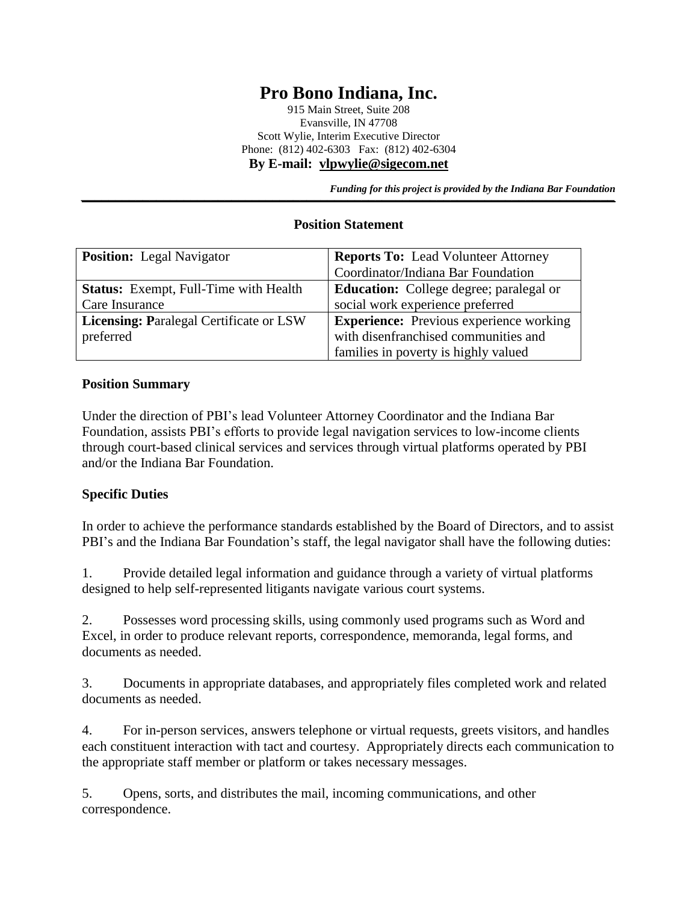# **Pro Bono Indiana, Inc.**

915 Main Street, Suite 208 Evansville, IN 47708 Scott Wylie, Interim Executive Director Phone: (812) 402-6303 Fax: (812) 402-6304 **By E-mail: [vlpwylie@sigecom.net](mailto:vlpwylie@sigecom.net)**

*Funding for this project is provided by the Indiana Bar Foundation* 

#### **Position Statement**

| <b>Position:</b> Legal Navigator               | <b>Reports To:</b> Lead Volunteer Attorney     |
|------------------------------------------------|------------------------------------------------|
|                                                | Coordinator/Indiana Bar Foundation             |
| <b>Status:</b> Exempt, Full-Time with Health   | <b>Education:</b> College degree; paralegal or |
| Care Insurance                                 | social work experience preferred               |
| <b>Licensing: Paralegal Certificate or LSW</b> | <b>Experience:</b> Previous experience working |
| preferred                                      | with disenfranchised communities and           |
|                                                | families in poverty is highly valued           |

#### **Position Summary**

Under the direction of PBI's lead Volunteer Attorney Coordinator and the Indiana Bar Foundation, assists PBI's efforts to provide legal navigation services to low-income clients through court-based clinical services and services through virtual platforms operated by PBI and/or the Indiana Bar Foundation.

#### **Specific Duties**

In order to achieve the performance standards established by the Board of Directors, and to assist PBI's and the Indiana Bar Foundation's staff, the legal navigator shall have the following duties:

1. Provide detailed legal information and guidance through a variety of virtual platforms designed to help self-represented litigants navigate various court systems.

2. Possesses word processing skills, using commonly used programs such as Word and Excel, in order to produce relevant reports, correspondence, memoranda, legal forms, and documents as needed.

3. Documents in appropriate databases, and appropriately files completed work and related documents as needed.

4. For in-person services, answers telephone or virtual requests, greets visitors, and handles each constituent interaction with tact and courtesy. Appropriately directs each communication to the appropriate staff member or platform or takes necessary messages.

5. Opens, sorts, and distributes the mail, incoming communications, and other correspondence.